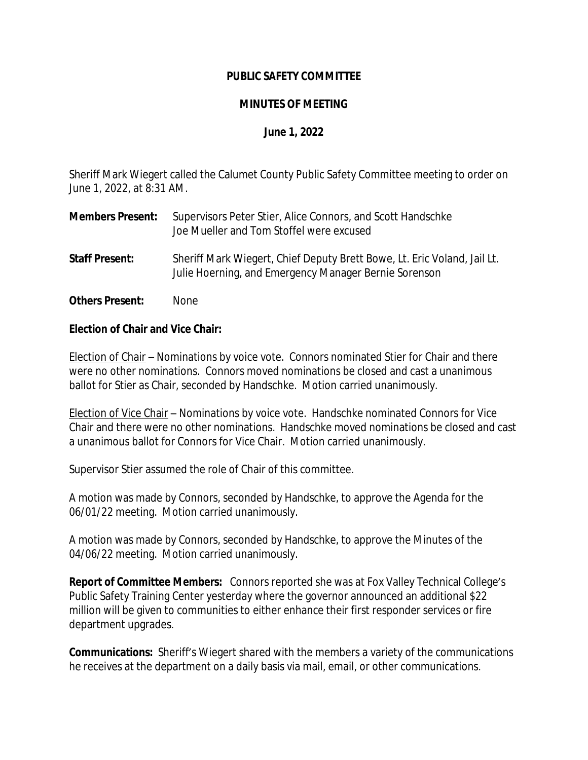# **PUBLIC SAFETY COMMITTEE**

# **MINUTES OF MEETING**

# **June 1, 2022**

Sheriff Mark Wiegert called the Calumet County Public Safety Committee meeting to order on June 1, 2022, at 8:31 AM.

- **Members Present:** Supervisors Peter Stier, Alice Connors, and Scott Handschke Joe Mueller and Tom Stoffel were excused
- **Staff Present:** Sheriff Mark Wiegert, Chief Deputy Brett Bowe, Lt. Eric Voland, Jail Lt. Julie Hoerning, and Emergency Manager Bernie Sorenson
- **Others Present:** None

### **Election of Chair and Vice Chair:**

Election of Chair – Nominations by voice vote. Connors nominated Stier for Chair and there were no other nominations. Connors moved nominations be closed and cast a unanimous ballot for Stier as Chair, seconded by Handschke. Motion carried unanimously.

Election of Vice Chair – Nominations by voice vote. Handschke nominated Connors for Vice Chair and there were no other nominations. Handschke moved nominations be closed and cast a unanimous ballot for Connors for Vice Chair. Motion carried unanimously.

Supervisor Stier assumed the role of Chair of this committee.

A motion was made by Connors, seconded by Handschke, to approve the Agenda for the 06/01/22 meeting. Motion carried unanimously.

A motion was made by Connors, seconded by Handschke, to approve the Minutes of the 04/06/22 meeting. Motion carried unanimously.

**Report of Committee Members:** Connors reported she was at Fox Valley Technical College's Public Safety Training Center yesterday where the governor announced an additional \$22 million will be given to communities to either enhance their first responder services or fire department upgrades.

**Communications:** Sheriff's Wiegert shared with the members a variety of the communications he receives at the department on a daily basis via mail, email, or other communications.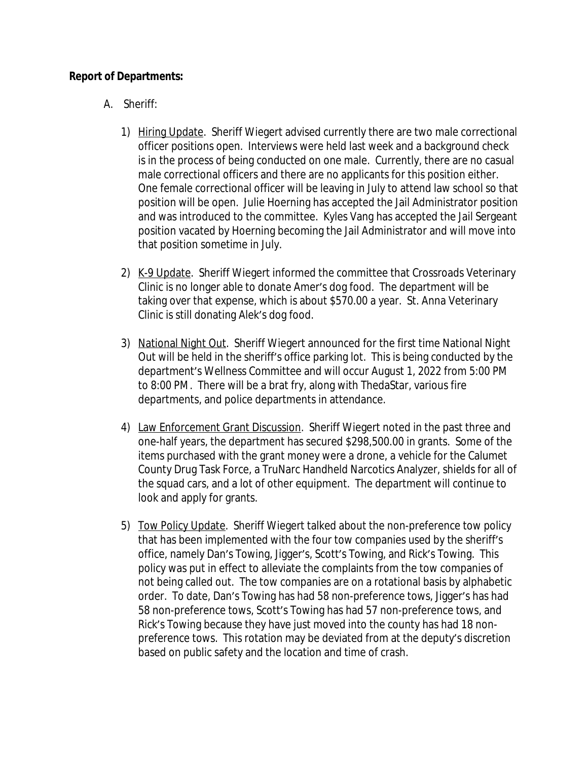# **Report of Departments:**

- A. Sheriff:
	- 1) Hiring Update. Sheriff Wiegert advised currently there are two male correctional officer positions open. Interviews were held last week and a background check is in the process of being conducted on one male. Currently, there are no casual male correctional officers and there are no applicants for this position either. One female correctional officer will be leaving in July to attend law school so that position will be open. Julie Hoerning has accepted the Jail Administrator position and was introduced to the committee. Kyles Vang has accepted the Jail Sergeant position vacated by Hoerning becoming the Jail Administrator and will move into that position sometime in July.
	- 2) K-9 Update. Sheriff Wiegert informed the committee that Crossroads Veterinary Clinic is no longer able to donate Amer's dog food. The department will be taking over that expense, which is about \$570.00 a year. St. Anna Veterinary Clinic is still donating Alek's dog food.
	- 3) National Night Out. Sheriff Wiegert announced for the first time National Night Out will be held in the sheriff's office parking lot. This is being conducted by the department's Wellness Committee and will occur August 1, 2022 from 5:00 PM to 8:00 PM. There will be a brat fry, along with ThedaStar, various fire departments, and police departments in attendance.
	- 4) Law Enforcement Grant Discussion. Sheriff Wiegert noted in the past three and one-half years, the department has secured \$298,500.00 in grants. Some of the items purchased with the grant money were a drone, a vehicle for the Calumet County Drug Task Force, a TruNarc Handheld Narcotics Analyzer, shields for all of the squad cars, and a lot of other equipment. The department will continue to look and apply for grants.
	- 5) Tow Policy Update. Sheriff Wiegert talked about the non-preference tow policy that has been implemented with the four tow companies used by the sheriff's office, namely Dan's Towing, Jigger's, Scott's Towing, and Rick's Towing. This policy was put in effect to alleviate the complaints from the tow companies of not being called out. The tow companies are on a rotational basis by alphabetic order. To date, Dan's Towing has had 58 non-preference tows, Jigger's has had 58 non-preference tows, Scott's Towing has had 57 non-preference tows, and Rick's Towing because they have just moved into the county has had 18 nonpreference tows. This rotation may be deviated from at the deputy's discretion based on public safety and the location and time of crash.